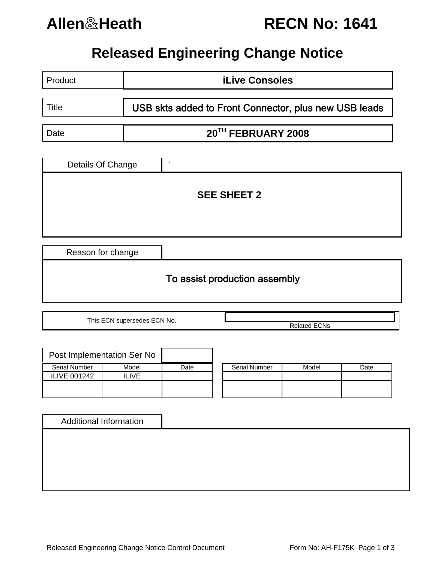

**Allen**&**Heath RECN No: 1641**

# **Released Engineering Change Notice**

| Product                | <b>iLive Consoles</b>                                 |  |  |  |  |  |
|------------------------|-------------------------------------------------------|--|--|--|--|--|
| <b>Title</b>           | USB skts added to Front Connector, plus new USB leads |  |  |  |  |  |
| Date                   | 20TH FEBRUARY 2008                                    |  |  |  |  |  |
| Details Of Change<br>٠ |                                                       |  |  |  |  |  |
| <b>SEE SHEET 2</b>     |                                                       |  |  |  |  |  |
| Reason for change      |                                                       |  |  |  |  |  |

# To assist production assembly

This ECN supersedes ECN No.  $\overline{\qquad}$ 

|                      | Post Implementation Ser No |      |                      |
|----------------------|----------------------------|------|----------------------|
| <b>Serial Number</b> | Model                      | Date | <b>Serial Number</b> |
| <b>ILIVE 001242</b>  | II IVF                     |      |                      |
|                      |                            |      |                      |
|                      |                            |      |                      |

| Model | Date |
|-------|------|
|       |      |
|       |      |
|       |      |
|       |      |

Additional Information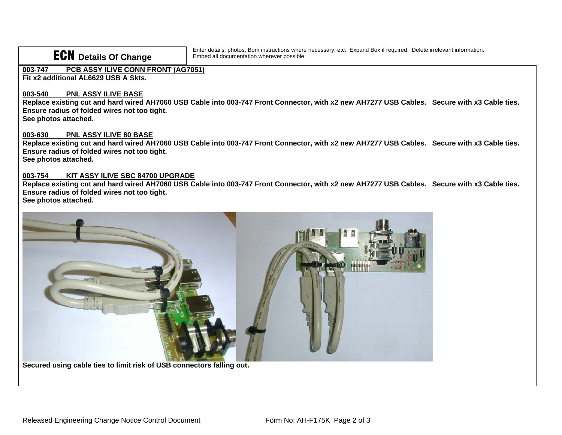# ECN **Details Of Change**

Enter details, photos, Bom instructions where necessary, etc. Expand Box if required. Delete irrelevant information. Embed all documentation wherever possible.

## **003-747 PCB ASSY ILIVE CONN FRONT (AG7051)**

**Fit x2 additional AL6629 USB A Skts.** 

### **003-540 PNL ASSY ILIVE BASE**

 **Replace existing cut and hard wired AH7060 USB Cable into 003-747 Front Connector, with x2 new AH7277 USB Cables. Secure with x3 Cable ties. Ensure radius of folded wires not too tight.** 

**See photos attached.** 

### **003-630 PNL ASSY ILIVE 80 BASE**

 **Replace existing cut and hard wired AH7060 USB Cable into 003-747 Front Connector, with x2 new AH7277 USB Cables. Secure with x3 Cable ties. Ensure radius of folded wires not too tight. See photos attached.** 

#### **003-754 KIT ASSY ILIVE SBC 84700 UPGRADE**

**Replace existing cut and hard wired AH7060 USB Cable into 003-747 Front Connector, with x2 new AH7277 USB Cables. Secure with x3 Cable ties. Ensure radius of folded wires not too tight.** 

**See photos attached.** 



**Secured using cable ties to limit risk of USB connectors falling out.**